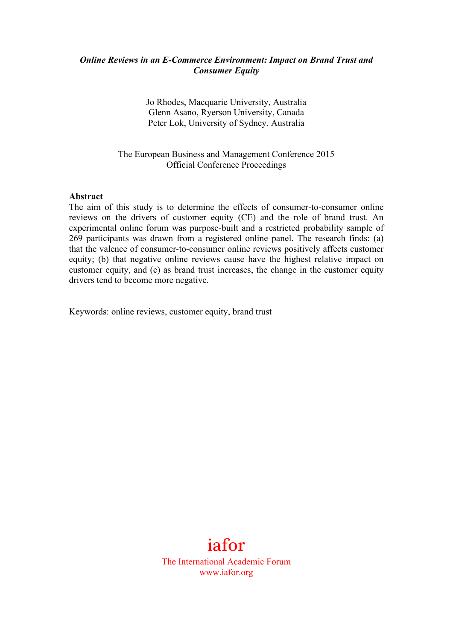### *Online Reviews in an E-Commerce Environment: Impact on Brand Trust and Consumer Equity*

Jo Rhodes, Macquarie University, Australia Glenn Asano, Ryerson University, Canada Peter Lok, University of Sydney, Australia

The European Business and Management Conference 2015 Official Conference Proceedings

#### **Abstract**

The aim of this study is to determine the effects of consumer-to-consumer online reviews on the drivers of customer equity (CE) and the role of brand trust. An experimental online forum was purpose-built and a restricted probability sample of 269 participants was drawn from a registered online panel. The research finds: (a) that the valence of consumer-to-consumer online reviews positively affects customer equity; (b) that negative online reviews cause have the highest relative impact on customer equity, and (c) as brand trust increases, the change in the customer equity drivers tend to become more negative.

Keywords: online reviews, customer equity, brand trust

# iafor

The International Academic Forum www.iafor.org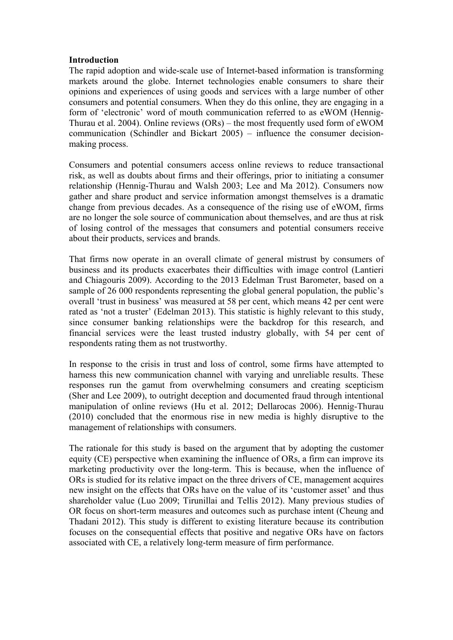#### **Introduction**

The rapid adoption and wide-scale use of Internet-based information is transforming markets around the globe. Internet technologies enable consumers to share their opinions and experiences of using goods and services with a large number of other consumers and potential consumers. When they do this online, they are engaging in a form of 'electronic' word of mouth communication referred to as eWOM (Hennig-Thurau et al. 2004). Online reviews (ORs) – the most frequently used form of eWOM communication (Schindler and Bickart 2005) – influence the consumer decisionmaking process.

Consumers and potential consumers access online reviews to reduce transactional risk, as well as doubts about firms and their offerings, prior to initiating a consumer relationship (Hennig-Thurau and Walsh 2003; Lee and Ma 2012). Consumers now gather and share product and service information amongst themselves is a dramatic change from previous decades. As a consequence of the rising use of eWOM, firms are no longer the sole source of communication about themselves, and are thus at risk of losing control of the messages that consumers and potential consumers receive about their products, services and brands.

That firms now operate in an overall climate of general mistrust by consumers of business and its products exacerbates their difficulties with image control (Lantieri and Chiagouris 2009). According to the 2013 Edelman Trust Barometer, based on a sample of 26 000 respondents representing the global general population, the public's overall 'trust in business' was measured at 58 per cent, which means 42 per cent were rated as 'not a truster' (Edelman 2013). This statistic is highly relevant to this study, since consumer banking relationships were the backdrop for this research, and financial services were the least trusted industry globally, with 54 per cent of respondents rating them as not trustworthy.

In response to the crisis in trust and loss of control, some firms have attempted to harness this new communication channel with varying and unreliable results. These responses run the gamut from overwhelming consumers and creating scepticism (Sher and Lee 2009), to outright deception and documented fraud through intentional manipulation of online reviews (Hu et al. 2012; Dellarocas 2006). Hennig-Thurau (2010) concluded that the enormous rise in new media is highly disruptive to the management of relationships with consumers.

The rationale for this study is based on the argument that by adopting the customer equity (CE) perspective when examining the influence of ORs, a firm can improve its marketing productivity over the long-term. This is because, when the influence of ORs is studied for its relative impact on the three drivers of CE, management acquires new insight on the effects that ORs have on the value of its 'customer asset' and thus shareholder value (Luo 2009; Tirunillai and Tellis 2012). Many previous studies of OR focus on short-term measures and outcomes such as purchase intent (Cheung and Thadani 2012). This study is different to existing literature because its contribution focuses on the consequential effects that positive and negative ORs have on factors associated with CE, a relatively long-term measure of firm performance.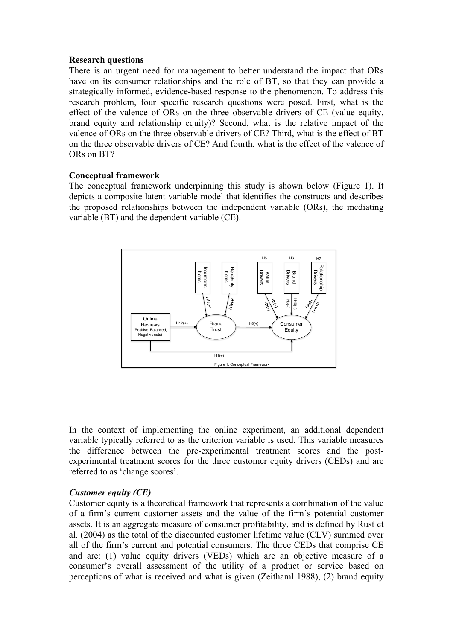#### **Research questions**

There is an urgent need for management to better understand the impact that ORs have on its consumer relationships and the role of BT, so that they can provide a strategically informed, evidence-based response to the phenomenon. To address this research problem, four specific research questions were posed. First, what is the effect of the valence of ORs on the three observable drivers of CE (value equity, brand equity and relationship equity)? Second, what is the relative impact of the valence of ORs on the three observable drivers of CE? Third, what is the effect of BT on the three observable drivers of CE? And fourth, what is the effect of the valence of ORs on BT?

#### **Conceptual framework**

The conceptual framework underpinning this study is shown below (Figure 1). It depicts a composite latent variable model that identifies the constructs and describes the proposed relationships between the independent variable (ORs), the mediating variable (BT) and the dependent variable (CE).



In the context of implementing the online experiment, an additional dependent variable typically referred to as the criterion variable is used. This variable measures the difference between the pre-experimental treatment scores and the postexperimental treatment scores for the three customer equity drivers (CEDs) and are referred to as 'change scores'.

#### *Customer equity (CE)*

Customer equity is a theoretical framework that represents a combination of the value of a firm's current customer assets and the value of the firm's potential customer assets. It is an aggregate measure of consumer profitability, and is defined by Rust et al. (2004) as the total of the discounted customer lifetime value (CLV) summed over all of the firm's current and potential consumers. The three CEDs that comprise CE and are: (1) value equity drivers (VEDs) which are an objective measure of a consumer's overall assessment of the utility of a product or service based on perceptions of what is received and what is given (Zeithaml 1988), (2) brand equity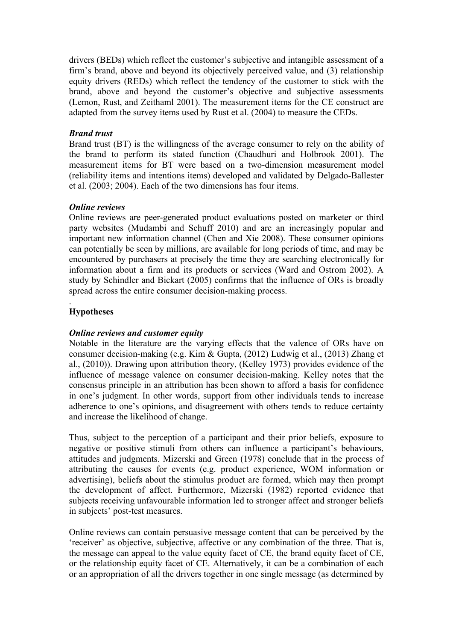drivers (BEDs) which reflect the customer's subjective and intangible assessment of a firm's brand, above and beyond its objectively perceived value, and (3) relationship equity drivers (REDs) which reflect the tendency of the customer to stick with the brand, above and beyond the customer's objective and subjective assessments (Lemon, Rust, and Zeithaml 2001). The measurement items for the CE construct are adapted from the survey items used by Rust et al. (2004) to measure the CEDs.

## *Brand trust*

Brand trust (BT) is the willingness of the average consumer to rely on the ability of the brand to perform its stated function (Chaudhuri and Holbrook 2001). The measurement items for BT were based on a two-dimension measurement model (reliability items and intentions items) developed and validated by Delgado-Ballester et al. (2003; 2004). Each of the two dimensions has four items.

#### *Online reviews*

Online reviews are peer-generated product evaluations posted on marketer or third party websites (Mudambi and Schuff 2010) and are an increasingly popular and important new information channel (Chen and Xie 2008). These consumer opinions can potentially be seen by millions, are available for long periods of time, and may be encountered by purchasers at precisely the time they are searching electronically for information about a firm and its products or services (Ward and Ostrom 2002). A study by Schindler and Bickart (2005) confirms that the influence of ORs is broadly spread across the entire consumer decision-making process.

#### . **Hypotheses**

# *Online reviews and customer equity*

Notable in the literature are the varying effects that the valence of ORs have on consumer decision-making (e.g. Kim & Gupta, (2012) Ludwig et al., (2013) Zhang et al., (2010)). Drawing upon attribution theory, (Kelley 1973) provides evidence of the influence of message valence on consumer decision-making. Kelley notes that the consensus principle in an attribution has been shown to afford a basis for confidence in one's judgment. In other words, support from other individuals tends to increase adherence to one's opinions, and disagreement with others tends to reduce certainty and increase the likelihood of change.

Thus, subject to the perception of a participant and their prior beliefs, exposure to negative or positive stimuli from others can influence a participant's behaviours, attitudes and judgments. Mizerski and Green (1978) conclude that in the process of attributing the causes for events (e.g. product experience, WOM information or advertising), beliefs about the stimulus product are formed, which may then prompt the development of affect. Furthermore, Mizerski (1982) reported evidence that subjects receiving unfavourable information led to stronger affect and stronger beliefs in subjects' post-test measures.

Online reviews can contain persuasive message content that can be perceived by the 'receiver' as objective, subjective, affective or any combination of the three. That is, the message can appeal to the value equity facet of CE, the brand equity facet of CE, or the relationship equity facet of CE. Alternatively, it can be a combination of each or an appropriation of all the drivers together in one single message (as determined by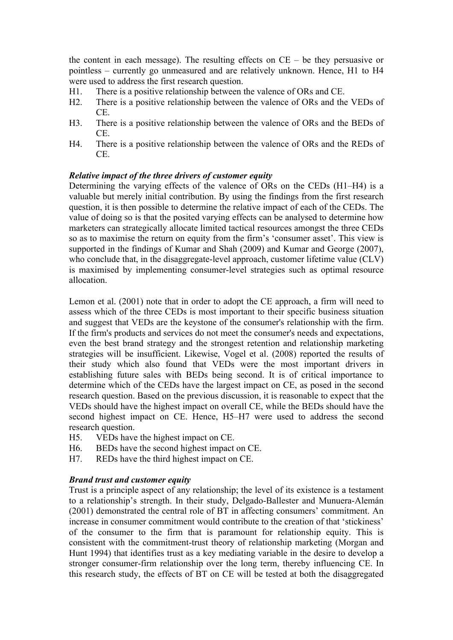the content in each message). The resulting effects on CE – be they persuasive or pointless – currently go unmeasured and are relatively unknown. Hence, H1 to H4 were used to address the first research question.

- H1. There is a positive relationship between the valence of ORs and CE.
- H2. There is a positive relationship between the valence of ORs and the VEDs of CE.
- H3. There is a positive relationship between the valence of ORs and the BEDs of CE.
- H4. There is a positive relationship between the valence of ORs and the REDs of CE.

#### *Relative impact of the three drivers of customer equity*

Determining the varying effects of the valence of ORs on the CEDs (H1–H4) is a valuable but merely initial contribution. By using the findings from the first research question, it is then possible to determine the relative impact of each of the CEDs. The value of doing so is that the posited varying effects can be analysed to determine how marketers can strategically allocate limited tactical resources amongst the three CEDs so as to maximise the return on equity from the firm's 'consumer asset'. This view is supported in the findings of Kumar and Shah (2009) and Kumar and George (2007), who conclude that, in the disaggregate-level approach, customer lifetime value (CLV) is maximised by implementing consumer-level strategies such as optimal resource allocation.

Lemon et al. (2001) note that in order to adopt the CE approach, a firm will need to assess which of the three CEDs is most important to their specific business situation and suggest that VEDs are the keystone of the consumer's relationship with the firm. If the firm's products and services do not meet the consumer's needs and expectations, even the best brand strategy and the strongest retention and relationship marketing strategies will be insufficient. Likewise, Vogel et al. (2008) reported the results of their study which also found that VEDs were the most important drivers in establishing future sales with BEDs being second. It is of critical importance to determine which of the CEDs have the largest impact on CE, as posed in the second research question. Based on the previous discussion, it is reasonable to expect that the VEDs should have the highest impact on overall CE, while the BEDs should have the second highest impact on CE. Hence, H5–H7 were used to address the second research question.

- H5. VEDs have the highest impact on CE.
- H6. BEDs have the second highest impact on CE.
- H7. REDs have the third highest impact on CE.

#### *Brand trust and customer equity*

Trust is a principle aspect of any relationship; the level of its existence is a testament to a relationship's strength. In their study, Delgado-Ballester and Munuera-Alemán (2001) demonstrated the central role of BT in affecting consumers' commitment. An increase in consumer commitment would contribute to the creation of that 'stickiness' of the consumer to the firm that is paramount for relationship equity. This is consistent with the commitment-trust theory of relationship marketing (Morgan and Hunt 1994) that identifies trust as a key mediating variable in the desire to develop a stronger consumer-firm relationship over the long term, thereby influencing CE. In this research study, the effects of BT on CE will be tested at both the disaggregated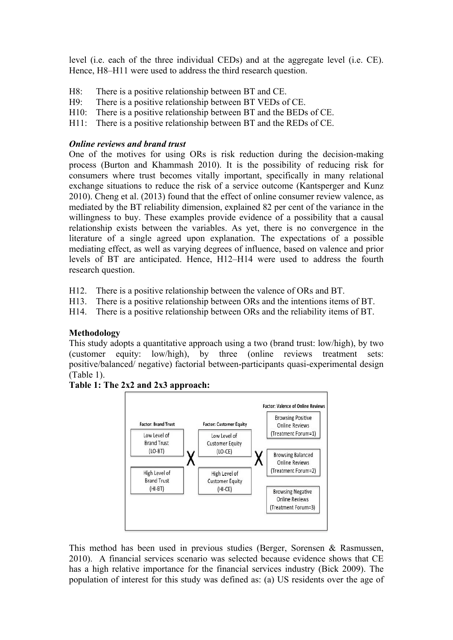level (i.e. each of the three individual CEDs) and at the aggregate level (i.e. CE). Hence, H8–H11 were used to address the third research question.

- H8: There is a positive relationship between BT and CE.
- H9: There is a positive relationship between BT VEDs of CE.
- H10: There is a positive relationship between BT and the BEDs of CE.
- H11: There is a positive relationship between BT and the REDs of CE.

### *Online reviews and brand trust*

One of the motives for using ORs is risk reduction during the decision-making process (Burton and Khammash 2010). It is the possibility of reducing risk for consumers where trust becomes vitally important, specifically in many relational exchange situations to reduce the risk of a service outcome (Kantsperger and Kunz 2010). Cheng et al. (2013) found that the effect of online consumer review valence, as mediated by the BT reliability dimension, explained 82 per cent of the variance in the willingness to buy. These examples provide evidence of a possibility that a causal relationship exists between the variables. As yet, there is no convergence in the literature of a single agreed upon explanation. The expectations of a possible mediating effect, as well as varying degrees of influence, based on valence and prior levels of BT are anticipated. Hence, H12–H14 were used to address the fourth research question.

- H12. There is a positive relationship between the valence of ORs and BT.
- H13. There is a positive relationship between ORs and the intentions items of BT.

H14. There is a positive relationship between ORs and the reliability items of BT.

#### **Methodology**

This study adopts a quantitative approach using a two (brand trust: low/high), by two (customer equity: low/high), by three (online reviews treatment sets: positive/balanced/ negative) factorial between-participants quasi-experimental design (Table 1).



#### **Table 1: The 2x2 and 2x3 approach:**

This method has been used in previous studies (Berger, Sorensen & Rasmussen, 2010). A financial services scenario was selected because evidence shows that CE has a high relative importance for the financial services industry (Bick 2009). The population of interest for this study was defined as: (a) US residents over the age of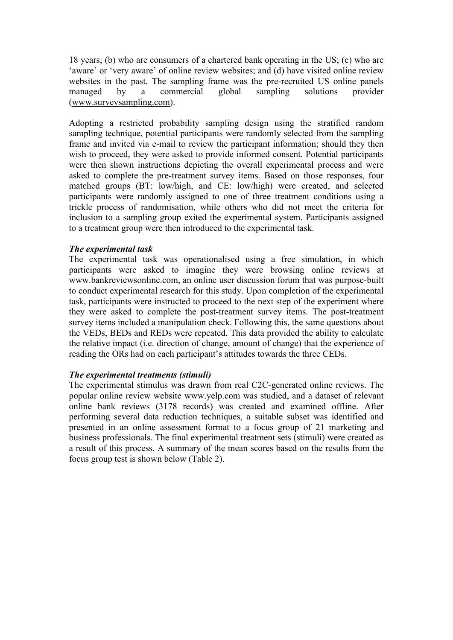18 years; (b) who are consumers of a chartered bank operating in the US; (c) who are 'aware' or 'very aware' of online review websites; and (d) have visited online review websites in the past. The sampling frame was the pre-recruited US online panels managed by a commercial global sampling solutions provider (www.surveysampling.com).

Adopting a restricted probability sampling design using the stratified random sampling technique, potential participants were randomly selected from the sampling frame and invited via e-mail to review the participant information; should they then wish to proceed, they were asked to provide informed consent. Potential participants were then shown instructions depicting the overall experimental process and were asked to complete the pre-treatment survey items. Based on those responses, four matched groups (BT: low/high, and CE: low/high) were created, and selected participants were randomly assigned to one of three treatment conditions using a trickle process of randomisation, while others who did not meet the criteria for inclusion to a sampling group exited the experimental system. Participants assigned to a treatment group were then introduced to the experimental task.

## *The experimental task*

The experimental task was operationalised using a free simulation, in which participants were asked to imagine they were browsing online reviews at www.bankreviewsonline.com, an online user discussion forum that was purpose-built to conduct experimental research for this study. Upon completion of the experimental task, participants were instructed to proceed to the next step of the experiment where they were asked to complete the post-treatment survey items. The post-treatment survey items included a manipulation check. Following this, the same questions about the VEDs, BEDs and REDs were repeated. This data provided the ability to calculate the relative impact (i.e. direction of change, amount of change) that the experience of reading the ORs had on each participant's attitudes towards the three CEDs.

# *The experimental treatments (stimuli)*

The experimental stimulus was drawn from real C2C-generated online reviews. The popular online review website www.yelp.com was studied, and a dataset of relevant online bank reviews (3178 records) was created and examined offline. After performing several data reduction techniques, a suitable subset was identified and presented in an online assessment format to a focus group of 21 marketing and business professionals. The final experimental treatment sets (stimuli) were created as a result of this process. A summary of the mean scores based on the results from the focus group test is shown below (Table 2).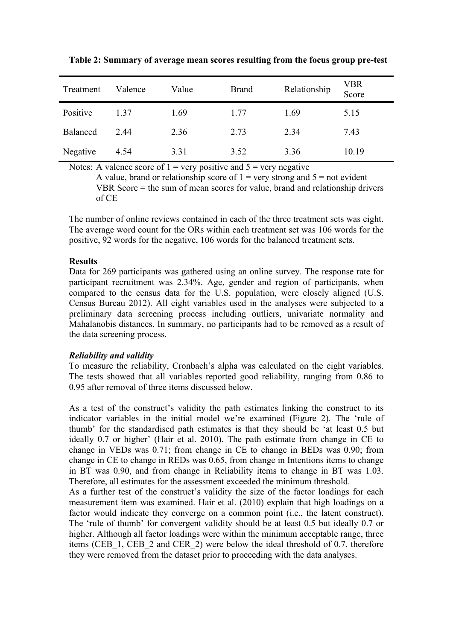| Treatment       | Valence | Value | <b>Brand</b> | Relationship | VBR<br>Score |
|-----------------|---------|-------|--------------|--------------|--------------|
| Positive        | 1 37    | 1.69  | 1.77         | 1.69         | 5.15         |
| <b>Balanced</b> | 2.44    | 2.36  | 2.73         | 2.34         | 7.43         |
| Negative        | 4.54    | 3.31  | 3.52         | 3.36         | 10.19        |

**Table 2: Summary of average mean scores resulting from the focus group pre-test**

Notes: A valence score of  $1 = \text{very positive}$  and  $5 = \text{very negative}$ 

A value, brand or relationship score of  $1 = \text{very strong and } 5 = \text{not evident}$ VBR Score = the sum of mean scores for value, brand and relationship drivers of CE

The number of online reviews contained in each of the three treatment sets was eight. The average word count for the ORs within each treatment set was 106 words for the positive, 92 words for the negative, 106 words for the balanced treatment sets.

#### **Results**

Data for 269 participants was gathered using an online survey. The response rate for participant recruitment was 2.34%. Age, gender and region of participants, when compared to the census data for the U.S. population, were closely aligned (U.S. Census Bureau 2012). All eight variables used in the analyses were subjected to a preliminary data screening process including outliers, univariate normality and Mahalanobis distances. In summary, no participants had to be removed as a result of the data screening process.

#### *Reliability and validity*

To measure the reliability, Cronbach's alpha was calculated on the eight variables. The tests showed that all variables reported good reliability, ranging from 0.86 to 0.95 after removal of three items discussed below.

As a test of the construct's validity the path estimates linking the construct to its indicator variables in the initial model we're examined (Figure 2). The 'rule of thumb' for the standardised path estimates is that they should be 'at least 0.5 but ideally 0.7 or higher' (Hair et al. 2010). The path estimate from change in CE to change in VEDs was 0.71; from change in CE to change in BEDs was 0.90; from change in CE to change in REDs was 0.65, from change in Intentions items to change in BT was 0.90, and from change in Reliability items to change in BT was 1.03. Therefore, all estimates for the assessment exceeded the minimum threshold.

As a further test of the construct's validity the size of the factor loadings for each measurement item was examined. Hair et al. (2010) explain that high loadings on a factor would indicate they converge on a common point (i.e., the latent construct). The 'rule of thumb' for convergent validity should be at least 0.5 but ideally 0.7 or higher. Although all factor loadings were within the minimum acceptable range, three items (CEB\_1, CEB\_2 and CER\_2) were below the ideal threshold of 0.7, therefore they were removed from the dataset prior to proceeding with the data analyses.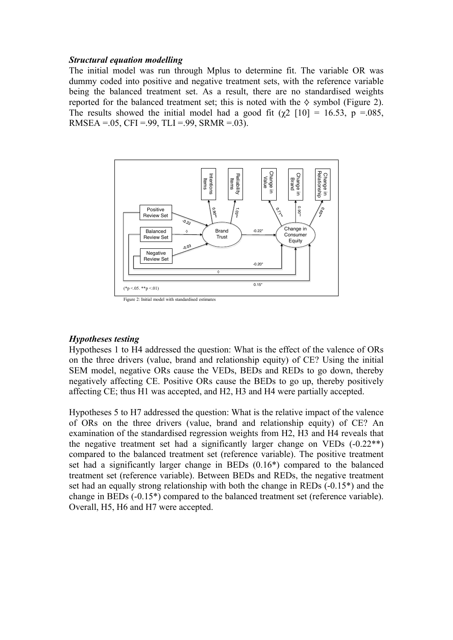#### *Structural equation modelling*

The initial model was run through Mplus to determine fit. The variable OR was dummy coded into positive and negative treatment sets, with the reference variable being the balanced treatment set. As a result, there are no standardised weights reported for the balanced treatment set; this is noted with the  $\diamond$  symbol (Figure 2). The results showed the initial model had a good fit ( $\gamma$ 2 [10] = 16.53, p = 085, RMSEA =  $.05$ , CFI =  $.99$ , TLI =  $.99$ , SRMR =  $.03$ ).



#### *Hypotheses testing*

Hypotheses 1 to H4 addressed the question: What is the effect of the valence of ORs on the three drivers (value, brand and relationship equity) of CE? Using the initial SEM model, negative ORs cause the VEDs, BEDs and REDs to go down, thereby negatively affecting CE. Positive ORs cause the BEDs to go up, thereby positively affecting CE; thus H1 was accepted, and H2, H3 and H4 were partially accepted.

Hypotheses 5 to H7 addressed the question: What is the relative impact of the valence of ORs on the three drivers (value, brand and relationship equity) of CE? An examination of the standardised regression weights from H2, H3 and H4 reveals that the negative treatment set had a significantly larger change on VEDs  $(-0.22**)$ compared to the balanced treatment set (reference variable). The positive treatment set had a significantly larger change in BEDs (0.16\*) compared to the balanced treatment set (reference variable). Between BEDs and REDs, the negative treatment set had an equally strong relationship with both the change in REDs (-0.15\*) and the change in BEDs (-0.15\*) compared to the balanced treatment set (reference variable). Overall, H5, H6 and H7 were accepted.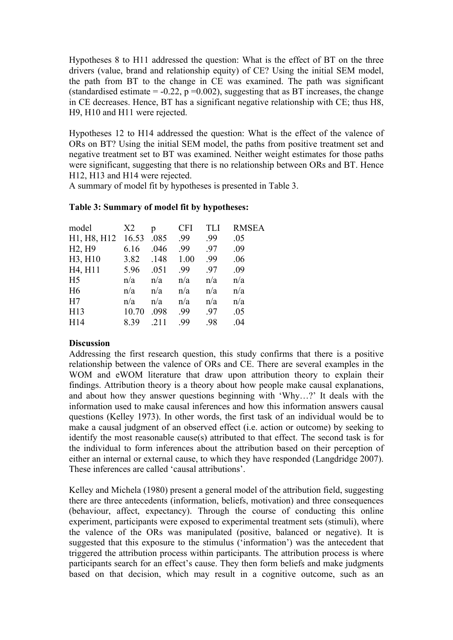Hypotheses 8 to H11 addressed the question: What is the effect of BT on the three drivers (value, brand and relationship equity) of CE? Using the initial SEM model, the path from BT to the change in CE was examined. The path was significant (standardised estimate =  $-0.22$ , p = 0.002), suggesting that as BT increases, the change in CE decreases. Hence, BT has a significant negative relationship with CE; thus H8, H9, H10 and H11 were rejected.

Hypotheses 12 to H14 addressed the question: What is the effect of the valence of ORs on BT? Using the initial SEM model, the paths from positive treatment set and negative treatment set to BT was examined. Neither weight estimates for those paths were significant, suggesting that there is no relationship between ORs and BT. Hence H12, H13 and H14 were rejected.

A summary of model fit by hypotheses is presented in Table 3.

| model                           | X2    | p    | <b>CFI</b> | TLI | <b>RMSEA</b> |
|---------------------------------|-------|------|------------|-----|--------------|
| H1, H8, H12                     | 16.53 | .085 | .99        | .99 | .05          |
| H <sub>2</sub> , H <sub>9</sub> | 6.16  | .046 | .99        | .97 | .09          |
| H3, H10                         | 3.82  | .148 | 1.00       | .99 | .06          |
| H4, H11                         | 5.96  | .051 | .99        | .97 | .09          |
| H <sub>5</sub>                  | n/a   | n/a  | n/a        | n/a | n/a          |
| H <sub>6</sub>                  | n/a   | n/a  | n/a        | n/a | n/a          |
| H7                              | n/a   | n/a  | n/a        | n/a | n/a          |
| H13                             | 10.70 | .098 | .99        | .97 | .05          |
| H14                             | 8.39  |      | .99        | .98 | .04          |

## **Table 3: Summary of model fit by hypotheses:**

# **Discussion**

Addressing the first research question, this study confirms that there is a positive relationship between the valence of ORs and CE. There are several examples in the WOM and eWOM literature that draw upon attribution theory to explain their findings. Attribution theory is a theory about how people make causal explanations, and about how they answer questions beginning with 'Why…?' It deals with the information used to make causal inferences and how this information answers causal questions (Kelley 1973). In other words, the first task of an individual would be to make a causal judgment of an observed effect (i.e. action or outcome) by seeking to identify the most reasonable cause(s) attributed to that effect. The second task is for the individual to form inferences about the attribution based on their perception of either an internal or external cause, to which they have responded (Langdridge 2007). These inferences are called 'causal attributions'.

Kelley and Michela (1980) present a general model of the attribution field, suggesting there are three antecedents (information, beliefs, motivation) and three consequences (behaviour, affect, expectancy). Through the course of conducting this online experiment, participants were exposed to experimental treatment sets (stimuli), where the valence of the ORs was manipulated (positive, balanced or negative). It is suggested that this exposure to the stimulus ('information') was the antecedent that triggered the attribution process within participants. The attribution process is where participants search for an effect's cause. They then form beliefs and make judgments based on that decision, which may result in a cognitive outcome, such as an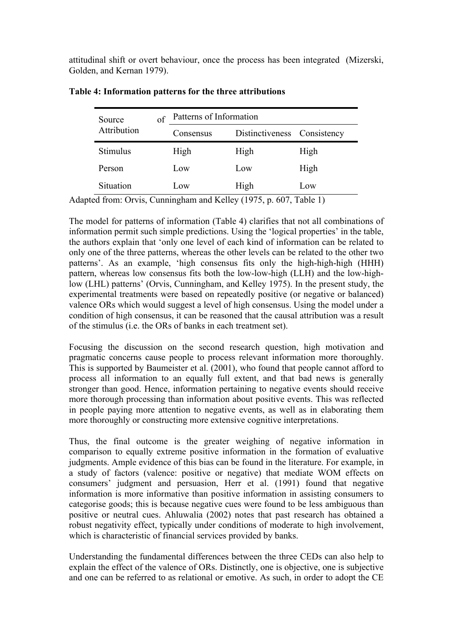attitudinal shift or overt behaviour, once the process has been integrated (Mizerski, Golden, and Kernan 1979).

| Source      | of | Patterns of Information |                             |      |  |  |
|-------------|----|-------------------------|-----------------------------|------|--|--|
| Attribution |    | Consensus               | Distinctiveness Consistency |      |  |  |
| Stimulus    |    | High                    | High                        | High |  |  |
| Person      |    | Low                     | Low                         | High |  |  |
| Situation   |    | Low                     | High                        | Low  |  |  |

| Table 4: Information patterns for the three attributions |  |  |  |  |  |  |
|----------------------------------------------------------|--|--|--|--|--|--|
|----------------------------------------------------------|--|--|--|--|--|--|

Adapted from: Orvis, Cunningham and Kelley (1975, p. 607, Table 1)

The model for patterns of information (Table 4) clarifies that not all combinations of information permit such simple predictions. Using the 'logical properties' in the table, the authors explain that 'only one level of each kind of information can be related to only one of the three patterns, whereas the other levels can be related to the other two patterns'. As an example, 'high consensus fits only the high-high-high (HHH) pattern, whereas low consensus fits both the low-low-high (LLH) and the low-highlow (LHL) patterns' (Orvis, Cunningham, and Kelley 1975). In the present study, the experimental treatments were based on repeatedly positive (or negative or balanced) valence ORs which would suggest a level of high consensus. Using the model under a condition of high consensus, it can be reasoned that the causal attribution was a result of the stimulus (i.e. the ORs of banks in each treatment set).

Focusing the discussion on the second research question, high motivation and pragmatic concerns cause people to process relevant information more thoroughly. This is supported by Baumeister et al. (2001), who found that people cannot afford to process all information to an equally full extent, and that bad news is generally stronger than good. Hence, information pertaining to negative events should receive more thorough processing than information about positive events. This was reflected in people paying more attention to negative events, as well as in elaborating them more thoroughly or constructing more extensive cognitive interpretations.

Thus, the final outcome is the greater weighing of negative information in comparison to equally extreme positive information in the formation of evaluative judgments. Ample evidence of this bias can be found in the literature. For example, in a study of factors (valence: positive or negative) that mediate WOM effects on consumers' judgment and persuasion, Herr et al. (1991) found that negative information is more informative than positive information in assisting consumers to categorise goods; this is because negative cues were found to be less ambiguous than positive or neutral cues. Ahluwalia (2002) notes that past research has obtained a robust negativity effect, typically under conditions of moderate to high involvement, which is characteristic of financial services provided by banks.

Understanding the fundamental differences between the three CEDs can also help to explain the effect of the valence of ORs. Distinctly, one is objective, one is subjective and one can be referred to as relational or emotive. As such, in order to adopt the CE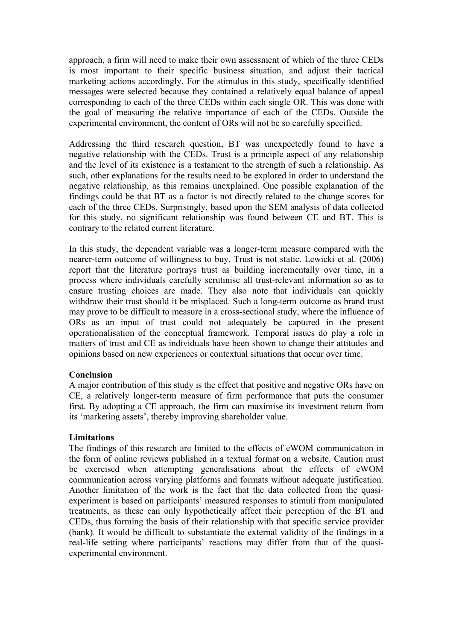approach, a firm will need to make their own assessment of which of the three CEDs is most important to their specific business situation, and adjust their tactical marketing actions accordingly. For the stimulus in this study, specifically identified messages were selected because they contained a relatively equal balance of appeal corresponding to each of the three CEDs within each single OR. This was done with the goal of measuring the relative importance of each of the CEDs. Outside the experimental environment, the content of ORs will not be so carefully specified.

Addressing the third research question, BT was unexpectedly found to have a negative relationship with the CEDs. Trust is a principle aspect of any relationship and the level of its existence is a testament to the strength of such a relationship. As such, other explanations for the results need to be explored in order to understand the negative relationship, as this remains unexplained. One possible explanation of the findings could be that BT as a factor is not directly related to the change scores for each of the three CEDs. Surprisingly, based upon the SEM analysis of data collected for this study, no significant relationship was found between CE and BT. This is contrary to the related current literature.

In this study, the dependent variable was a longer-term measure compared with the nearer-term outcome of willingness to buy. Trust is not static. Lewicki et al. (2006) report that the literature portrays trust as building incrementally over time, in a process where individuals carefully scrutinise all trust-relevant information so as to ensure trusting choices are made. They also note that individuals can quickly withdraw their trust should it be misplaced. Such a long-term outcome as brand trust may prove to be difficult to measure in a cross-sectional study, where the influence of ORs as an input of trust could not adequately be captured in the present operationalisation of the conceptual framework. Temporal issues do play a role in matters of trust and CE as individuals have been shown to change their attitudes and opinions based on new experiences or contextual situations that occur over time.

#### **Conclusion**

A major contribution of this study is the effect that positive and negative ORs have on CE, a relatively longer-term measure of firm performance that puts the consumer first. By adopting a CE approach, the firm can maximise its investment return from its 'marketing assets', thereby improving shareholder value.

# **Limitations**

The findings of this research are limited to the effects of eWOM communication in the form of online reviews published in a textual format on a website. Caution must be exercised when attempting generalisations about the effects of eWOM communication across varying platforms and formats without adequate justification. Another limitation of the work is the fact that the data collected from the quasiexperiment is based on participants' measured responses to stimuli from manipulated treatments, as these can only hypothetically affect their perception of the BT and CEDs, thus forming the basis of their relationship with that specific service provider (bank). It would be difficult to substantiate the external validity of the findings in a real-life setting where participants' reactions may differ from that of the quasiexperimental environment.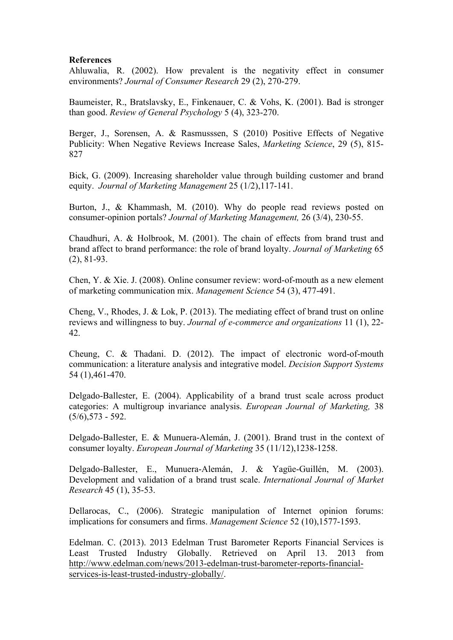### **References**

Ahluwalia, R. (2002). How prevalent is the negativity effect in consumer environments? *Journal of Consumer Research* 29 (2), 270-279.

Baumeister, R., Bratslavsky, E., Finkenauer, C. & Vohs, K. (2001). Bad is stronger than good. *Review of General Psychology* 5 (4), 323-270.

Berger, J., Sorensen, A. & Rasmusssen, S (2010) Positive Effects of Negative Publicity: When Negative Reviews Increase Sales, *Marketing Science*, 29 (5), 815- 827

Bick, G. (2009). Increasing shareholder value through building customer and brand equity. *Journal of Marketing Management* 25 (1/2),117-141.

Burton, J., & Khammash, M. (2010). Why do people read reviews posted on consumer-opinion portals? *Journal of Marketing Management,* 26 (3/4), 230-55.

Chaudhuri, A. & Holbrook, M. (2001). The chain of effects from brand trust and brand affect to brand performance: the role of brand loyalty. *Journal of Marketing* 65 (2), 81-93.

Chen, Y. & Xie. J. (2008). Online consumer review: word-of-mouth as a new element of marketing communication mix. *Management Science* 54 (3), 477-491.

Cheng, V., Rhodes, J. & Lok, P. (2013). The mediating effect of brand trust on online reviews and willingness to buy. *Journal of e-commerce and organizations* 11 (1), 22- 42.

Cheung, C. & Thadani. D. (2012). The impact of electronic word-of-mouth communication: a literature analysis and integrative model. *Decision Support Systems* 54 (1),461-470.

Delgado-Ballester, E. (2004). Applicability of a brand trust scale across product categories: A multigroup invariance analysis. *European Journal of Marketing,* 38 (5/6),573 - 592.

Delgado-Ballester, E. & Munuera-Alemán, J. (2001). Brand trust in the context of consumer loyalty. *European Journal of Marketing* 35 (11/12),1238-1258.

Delgado-Ballester, E., Munuera-Alemán, J. & Yagüe-Guillén, M. (2003). Development and validation of a brand trust scale. *International Journal of Market Research* 45 (1), 35-53.

Dellarocas, C., (2006). Strategic manipulation of Internet opinion forums: implications for consumers and firms. *Management Science* 52 (10),1577-1593.

Edelman. C. (2013). 2013 Edelman Trust Barometer Reports Financial Services is Least Trusted Industry Globally. Retrieved on April 13. 2013 from http://www.edelman.com/news/2013-edelman-trust-barometer-reports-financialservices-is-least-trusted-industry-globally/.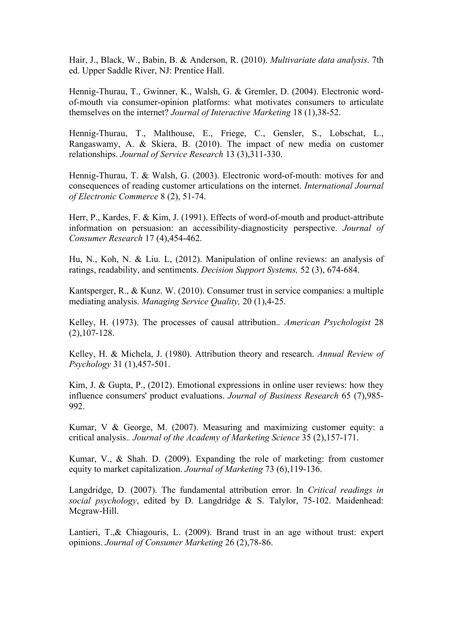Hair, J., Black, W., Babin, B. & Anderson, R. (2010). *Multivariate data analysis*. 7th ed. Upper Saddle River, NJ: Prentice Hall.

Hennig-Thurau, T., Gwinner, K., Walsh, G. & Gremler, D. (2004). Electronic wordof-mouth via consumer-opinion platforms: what motivates consumers to articulate themselves on the internet? *Journal of Interactive Marketing* 18 (1),38-52.

Hennig-Thurau, T., Malthouse, E., Friege, C., Gensler, S., Lobschat, L., Rangaswamy, A. & Skiera, B. (2010). The impact of new media on customer relationships. *Journal of Service Research* 13 (3),311-330.

Hennig-Thurau, T. & Walsh, G. (2003). Electronic word-of-mouth: motives for and consequences of reading customer articulations on the internet. *International Journal of Electronic Commerce* 8 (2), 51-74.

Herr, P., Kardes, F. & Kim, J. (1991). Effects of word-of-mouth and product-attribute information on persuasion: an accessibility-diagnosticity perspective. *Journal of Consumer Research* 17 (4),454-462.

Hu, N., Koh, N. & Liu. L, (2012). Manipulation of online reviews: an analysis of ratings, readability, and sentiments. *Decision Support Systems,* 52 (3), 674-684.

Kantsperger, R., & Kunz. W. (2010). Consumer trust in service companies: a multiple mediating analysis. *Managing Service Quality,* 20 (1),4-25.

Kelley, H. (1973). The processes of causal attribution.*. American Psychologist* 28 (2),107-128.

Kelley, H. & Michela, J. (1980). Attribution theory and research. *Annual Review of Psychology* 31 (1),457-501.

Kim, J. & Gupta, P., (2012). Emotional expressions in online user reviews: how they influence consumers' product evaluations. *Journal of Business Research* 65 (7),985- 992.

Kumar, V & George, M. (2007). Measuring and maximizing customer equity: a critical analysis.*. Journal of the Academy of Marketing Science* 35 (2),157-171.

Kumar, V., & Shah. D. (2009). Expanding the role of marketing: from customer equity to market capitalization. *Journal of Marketing* 73 (6),119-136.

Langdridge, D. (2007). The fundamental attribution error. In *Critical readings in social psychology*, edited by D. Langdridge & S. Talylor, 75-102. Maidenhead: Mcgraw-Hill.

Lantieri, T.,& Chiagouris, L. (2009). Brand trust in an age without trust: expert opinions. *Journal of Consumer Marketing* 26 (2),78-86.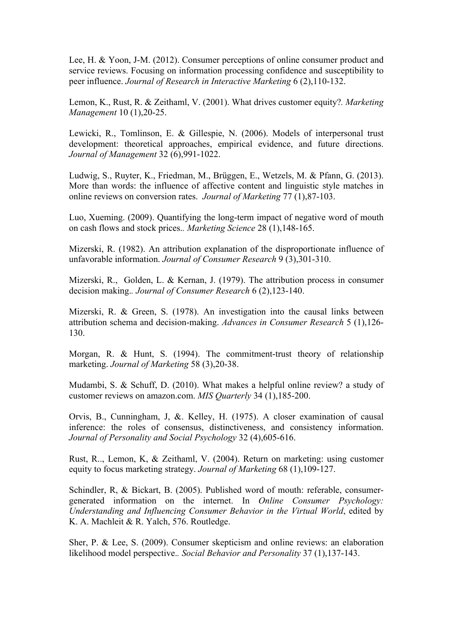Lee, H. & Yoon, J-M. (2012). Consumer perceptions of online consumer product and service reviews. Focusing on information processing confidence and susceptibility to peer influence. *Journal of Research in Interactive Marketing* 6 (2),110-132.

Lemon, K., Rust, R. & Zeithaml, V. (2001). What drives customer equity?*. Marketing Management* 10 (1),20-25.

Lewicki, R., Tomlinson, E. & Gillespie, N. (2006). Models of interpersonal trust development: theoretical approaches, empirical evidence, and future directions. *Journal of Management* 32 (6),991-1022.

Ludwig, S., Ruyter, K., Friedman, M., Brüggen, E., Wetzels, M. & Pfann, G. (2013). More than words: the influence of affective content and linguistic style matches in online reviews on conversion rates. *Journal of Marketing* 77 (1),87-103.

Luo, Xueming. (2009). Quantifying the long-term impact of negative word of mouth on cash flows and stock prices.*. Marketing Science* 28 (1),148-165.

Mizerski, R. (1982). An attribution explanation of the disproportionate influence of unfavorable information. *Journal of Consumer Research* 9 (3),301-310.

Mizerski, R., Golden, L. & Kernan, J. (1979). The attribution process in consumer decision making.*. Journal of Consumer Research* 6 (2),123-140.

Mizerski, R. & Green, S. (1978). An investigation into the causal links between attribution schema and decision-making. *Advances in Consumer Research* 5 (1),126- 130.

Morgan, R. & Hunt, S. (1994). The commitment-trust theory of relationship marketing. *Journal of Marketing* 58 (3),20-38.

Mudambi, S. & Schuff, D. (2010). What makes a helpful online review? a study of customer reviews on amazon.com. *MIS Quarterly* 34 (1),185-200.

Orvis, B., Cunningham, J, &. Kelley, H. (1975). A closer examination of causal inference: the roles of consensus, distinctiveness, and consistency information. *Journal of Personality and Social Psychology* 32 (4),605-616.

Rust, R.., Lemon, K, & Zeithaml, V. (2004). Return on marketing: using customer equity to focus marketing strategy. *Journal of Marketing* 68 (1),109-127.

Schindler, R, & Bickart, B. (2005). Published word of mouth: referable, consumergenerated information on the internet. In *Online Consumer Psychology: Understanding and Influencing Consumer Behavior in the Virtual World*, edited by K. A. Machleit & R. Yalch, 576. Routledge.

Sher, P. & Lee, S. (2009). Consumer skepticism and online reviews: an elaboration likelihood model perspective.*. Social Behavior and Personality* 37 (1),137-143.